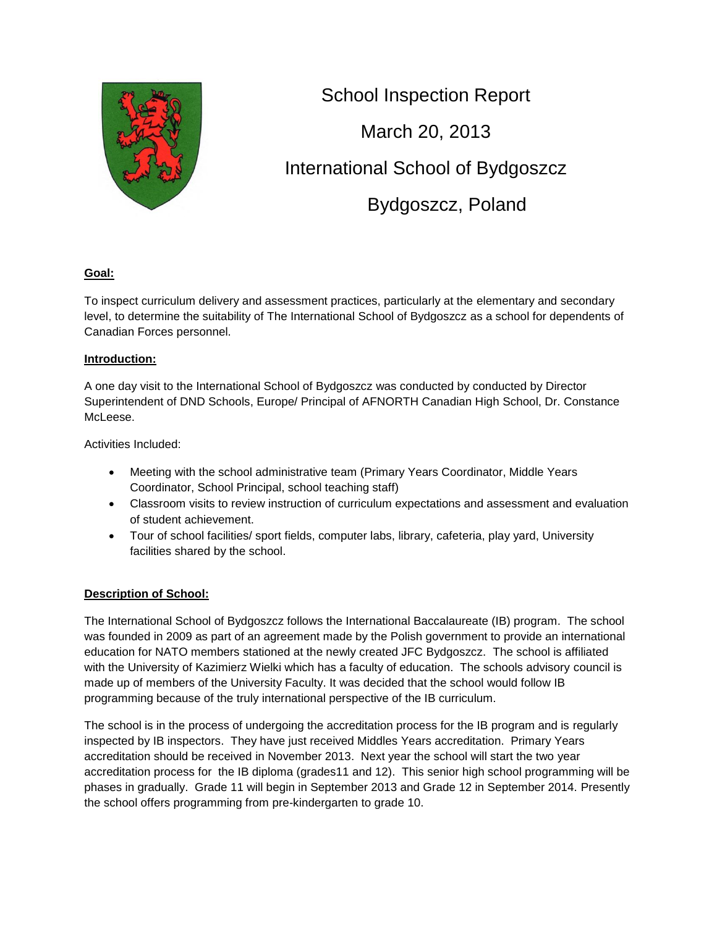

School Inspection Report March 20, 2013 International School of Bydgoszcz Bydgoszcz, Poland

# **Goal:**

To inspect curriculum delivery and assessment practices, particularly at the elementary and secondary level, to determine the suitability of The International School of Bydgoszcz as a school for dependents of Canadian Forces personnel.

## **Introduction:**

A one day visit to the International School of Bydgoszcz was conducted by conducted by Director Superintendent of DND Schools, Europe/ Principal of AFNORTH Canadian High School, Dr. Constance McLeese.

Activities Included:

- Meeting with the school administrative team (Primary Years Coordinator, Middle Years Coordinator, School Principal, school teaching staff)
- Classroom visits to review instruction of curriculum expectations and assessment and evaluation of student achievement.
- Tour of school facilities/ sport fields, computer labs, library, cafeteria, play yard, University facilities shared by the school.

## **Description of School:**

The International School of Bydgoszcz follows the International Baccalaureate (IB) program. The school was founded in 2009 as part of an agreement made by the Polish government to provide an international education for NATO members stationed at the newly created JFC Bydgoszcz. The school is affiliated with the University of Kazimierz Wielki which has a faculty of education. The schools advisory council is made up of members of the University Faculty. It was decided that the school would follow IB programming because of the truly international perspective of the IB curriculum.

The school is in the process of undergoing the accreditation process for the IB program and is regularly inspected by IB inspectors. They have just received Middles Years accreditation. Primary Years accreditation should be received in November 2013. Next year the school will start the two year accreditation process for the IB diploma (grades11 and 12). This senior high school programming will be phases in gradually. Grade 11 will begin in September 2013 and Grade 12 in September 2014. Presently the school offers programming from pre-kindergarten to grade 10.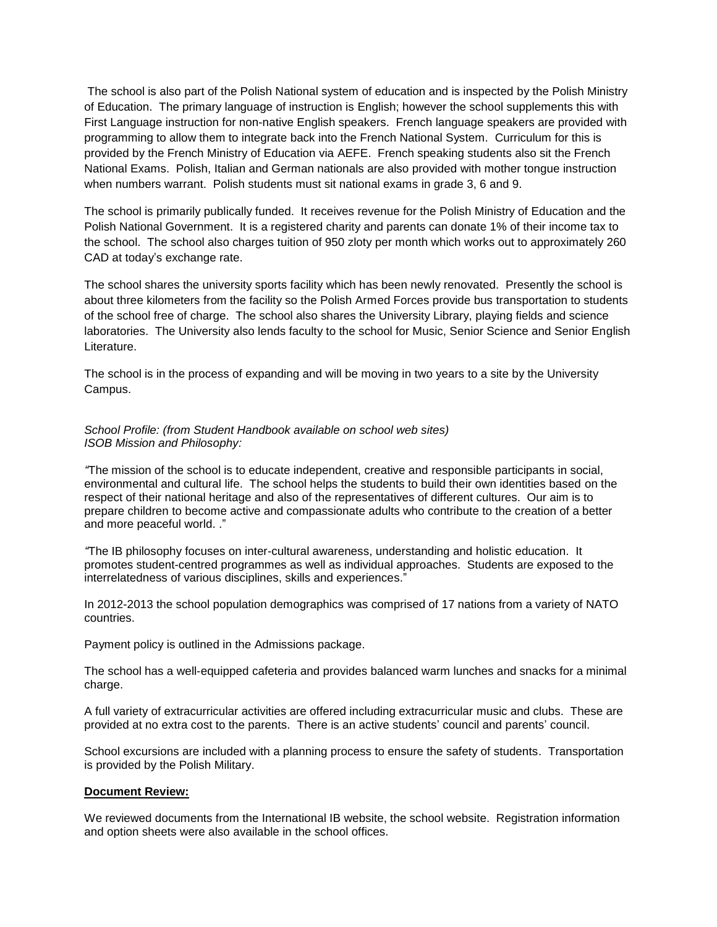The school is also part of the Polish National system of education and is inspected by the Polish Ministry of Education. The primary language of instruction is English; however the school supplements this with First Language instruction for non-native English speakers. French language speakers are provided with programming to allow them to integrate back into the French National System. Curriculum for this is provided by the French Ministry of Education via AEFE. French speaking students also sit the French National Exams. Polish, Italian and German nationals are also provided with mother tongue instruction when numbers warrant. Polish students must sit national exams in grade 3, 6 and 9.

The school is primarily publically funded. It receives revenue for the Polish Ministry of Education and the Polish National Government. It is a registered charity and parents can donate 1% of their income tax to the school. The school also charges tuition of 950 zloty per month which works out to approximately 260 CAD at today's exchange rate.

The school shares the university sports facility which has been newly renovated. Presently the school is about three kilometers from the facility so the Polish Armed Forces provide bus transportation to students of the school free of charge. The school also shares the University Library, playing fields and science laboratories. The University also lends faculty to the school for Music, Senior Science and Senior English Literature.

The school is in the process of expanding and will be moving in two years to a site by the University Campus.

### *School Profile: (from Student Handbook available on school web sites) ISOB Mission and Philosophy:*

*"*The mission of the school is to educate independent, creative and responsible participants in social, environmental and cultural life. The school helps the students to build their own identities based on the respect of their national heritage and also of the representatives of different cultures. Our aim is to prepare children to become active and compassionate adults who contribute to the creation of a better and more peaceful world. ."

*"*The IB philosophy focuses on inter-cultural awareness, understanding and holistic education. It promotes student-centred programmes as well as individual approaches. Students are exposed to the interrelatedness of various disciplines, skills and experiences."

In 2012-2013 the school population demographics was comprised of 17 nations from a variety of NATO countries.

Payment policy is outlined in the Admissions package.

The school has a well-equipped cafeteria and provides balanced warm lunches and snacks for a minimal charge.

A full variety of extracurricular activities are offered including extracurricular music and clubs. These are provided at no extra cost to the parents. There is an active students' council and parents' council.

School excursions are included with a planning process to ensure the safety of students. Transportation is provided by the Polish Military.

### **Document Review:**

We reviewed documents from the International IB website, the school website. Registration information and option sheets were also available in the school offices.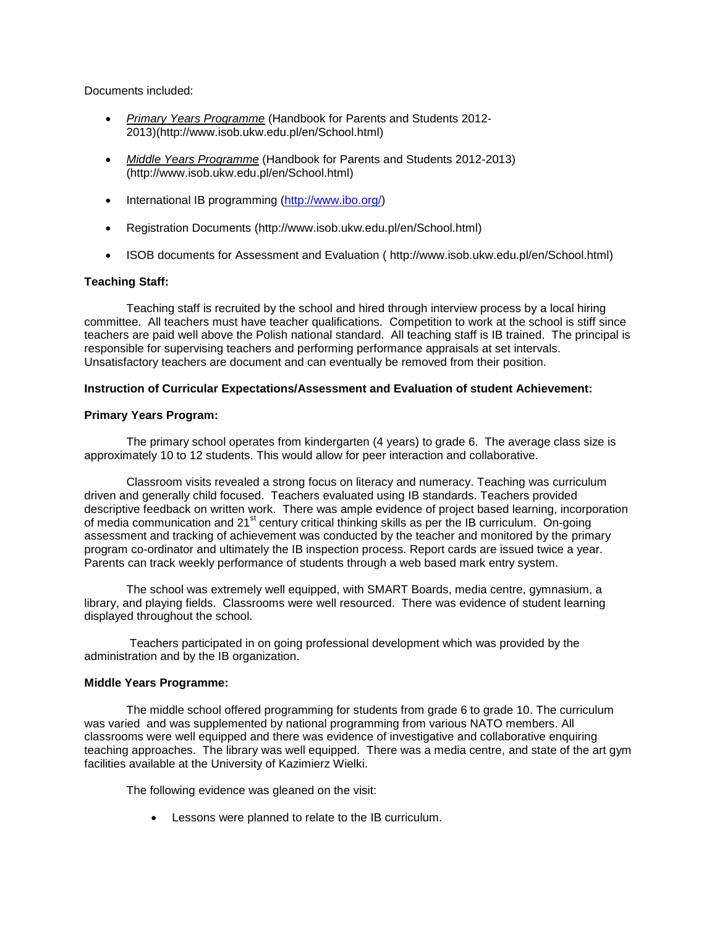Documents included:

- *Primary Years Programme* (Handbook for Parents and Students 2012- 2013)(http://www.isob.ukw.edu.pl/en/School.html)
- *Middle Years Programme* (Handbook for Parents and Students 2012-2013) (http://www.isob.ukw.edu.pl/en/School.html)
- International IB programming [\(http://www.ibo.org/\)](http://www.ibo.org/)
- Registration Documents (http://www.isob.ukw.edu.pl/en/School.html)
- ISOB documents for Assessment and Evaluation ( http://www.isob.ukw.edu.pl/en/School.html)

### **Teaching Staff:**

Teaching staff is recruited by the school and hired through interview process by a local hiring committee. All teachers must have teacher qualifications. Competition to work at the school is stiff since teachers are paid well above the Polish national standard. All teaching staff is IB trained. The principal is responsible for supervising teachers and performing performance appraisals at set intervals. Unsatisfactory teachers are document and can eventually be removed from their position.

### **Instruction of Curricular Expectations/Assessment and Evaluation of student Achievement:**

### **Primary Years Program:**

The primary school operates from kindergarten (4 years) to grade 6. The average class size is approximately 10 to 12 students. This would allow for peer interaction and collaborative.

Classroom visits revealed a strong focus on literacy and numeracy. Teaching was curriculum driven and generally child focused. Teachers evaluated using IB standards. Teachers provided descriptive feedback on written work. There was ample evidence of project based learning, incorporation of media communication and  $21<sup>st</sup>$  century critical thinking skills as per the IB curriculum. On-going assessment and tracking of achievement was conducted by the teacher and monitored by the primary program co-ordinator and ultimately the IB inspection process. Report cards are issued twice a year. Parents can track weekly performance of students through a web based mark entry system.

The school was extremely well equipped, with SMART Boards, media centre, gymnasium, a library, and playing fields. Classrooms were well resourced. There was evidence of student learning displayed throughout the school.

Teachers participated in on going professional development which was provided by the administration and by the IB organization.

### **Middle Years Programme:**

The middle school offered programming for students from grade 6 to grade 10. The curriculum was varied and was supplemented by national programming from various NATO members. All classrooms were well equipped and there was evidence of investigative and collaborative enquiring teaching approaches. The library was well equipped. There was a media centre, and state of the art gym facilities available at the University of Kazimierz Wielki.

The following evidence was gleaned on the visit:

Lessons were planned to relate to the IB curriculum.